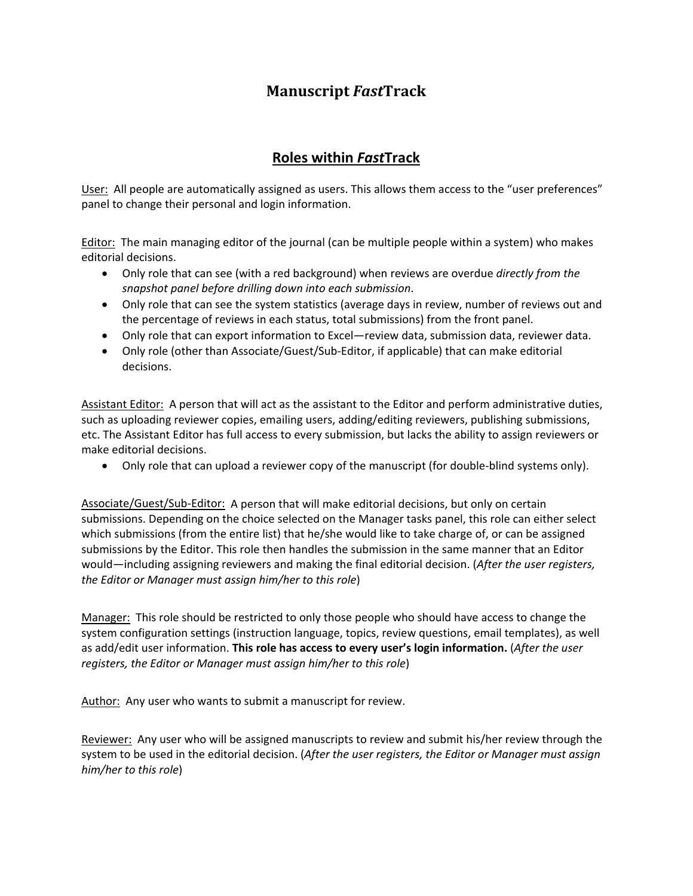## **Manuscript** *Fast***Track**

## **Roles within** *Fast***Track**

User: All people are automatically assigned as users. This allows them access to the "user preferences" panel to change their personal and login information.

Editor: The main managing editor of the journal (can be multiple people within a system) who makes editorial decisions.

- Only role that can see (with a red background) when reviews are overdue *directly from the snapshot panel before drilling down into each submission*.
- Only role that can see the system statistics (average days in review, number of reviews out and the percentage of reviews in each status, total submissions) from the front panel.
- Only role that can export information to Excel—review data, submission data, reviewer data.
- Only role (other than Associate/Guest/Sub‐Editor, if applicable) that can make editorial decisions.

Assistant Editor: A person that will act as the assistant to the Editor and perform administrative duties, such as uploading reviewer copies, emailing users, adding/editing reviewers, publishing submissions, etc. The Assistant Editor has full access to every submission, but lacks the ability to assign reviewers or make editorial decisions.

• Only role that can upload a reviewer copy of the manuscript (for double-blind systems only).

Associate/Guest/Sub‐Editor: A person that will make editorial decisions, but only on certain submissions. Depending on the choice selected on the Manager tasks panel, this role can either select which submissions (from the entire list) that he/she would like to take charge of, or can be assigned submissions by the Editor. This role then handles the submission in the same manner that an Editor would—including assigning reviewers and making the final editorial decision. (*After the user registers, the Editor or Manager must assign him/her to this role*)

Manager: This role should be restricted to only those people who should have access to change the system configuration settings (instruction language, topics, review questions, email templates), as well as add/edit user information. **This role has access to every user's login information.** (*After the user registers, the Editor or Manager must assign him/her to this role*)

Author: Any user who wants to submit a manuscript for review.

Reviewer: Any user who will be assigned manuscripts to review and submit his/her review through the system to be used in the editorial decision. (*After the user registers, the Editor or Manager must assign him/her to this role*)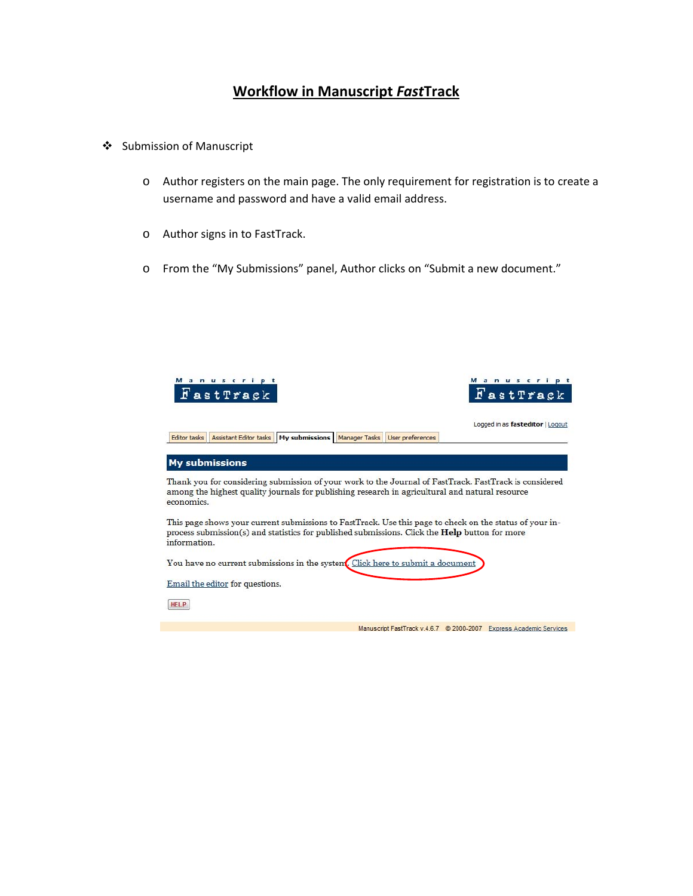## **Workflow in Manuscript** *Fast***Track**

- ❖ Submission of Manuscript
	- o Author registers on the main page. The only requirement for registration is to create a username and password and have a valid email address.
	- o Author signs in to FastTrack.
	- o From the "My Submissions" panel, Author clicks on "Submit a new document."

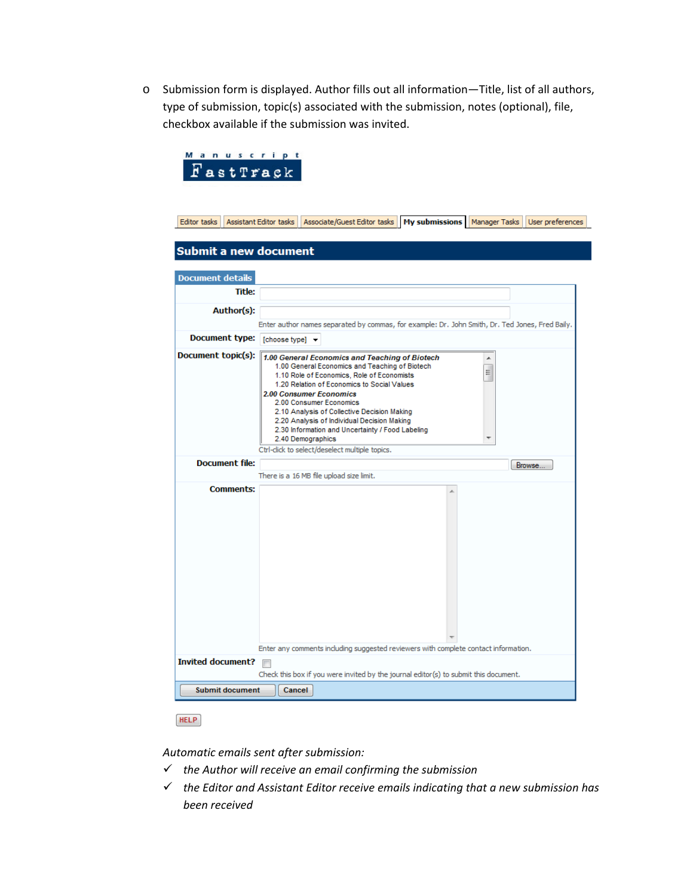o Submission form is displayed. Author fills out all information—Title, list of all authors, type of submission, topic(s) associated with the submission, notes (optional), file, checkbox available if the submission was invited.

| Manuscript<br>FastTrack                  |                        |                                                                                                                                                                                                                                                                                                                                                                                                                                                                                     |                                                                                                                                                                             |        |        |
|------------------------------------------|------------------------|-------------------------------------------------------------------------------------------------------------------------------------------------------------------------------------------------------------------------------------------------------------------------------------------------------------------------------------------------------------------------------------------------------------------------------------------------------------------------------------|-----------------------------------------------------------------------------------------------------------------------------------------------------------------------------|--------|--------|
| Editor tasks                             | Assistant Editor tasks |                                                                                                                                                                                                                                                                                                                                                                                                                                                                                     | Associate/Guest Editor tasks   My submissions   Manager Tasks   User preferences                                                                                            |        |        |
| Submit a new document                    |                        |                                                                                                                                                                                                                                                                                                                                                                                                                                                                                     |                                                                                                                                                                             |        |        |
| <b>Document details</b><br><b>Title:</b> |                        |                                                                                                                                                                                                                                                                                                                                                                                                                                                                                     |                                                                                                                                                                             |        |        |
| Author(s):                               |                        |                                                                                                                                                                                                                                                                                                                                                                                                                                                                                     |                                                                                                                                                                             |        |        |
|                                          |                        |                                                                                                                                                                                                                                                                                                                                                                                                                                                                                     | Enter author names separated by commas, for example: Dr. John Smith, Dr. Ted Jones, Fred Baily.                                                                             |        |        |
| Document type: [choose type] v           |                        |                                                                                                                                                                                                                                                                                                                                                                                                                                                                                     |                                                                                                                                                                             |        |        |
| Document topic(s):                       |                        | 1.00 General Economics and Teaching of Biotech<br>1.00 General Economics and Teaching of Biotech<br>1.10 Role of Economics, Role of Economists<br>1.20 Relation of Economics to Social Values<br><b>2.00 Consumer Economics</b><br>2.00 Consumer Economics<br>2.10 Analysis of Collective Decision Making<br>2.20 Analysis of Individual Decision Making<br>2.30 Information and Uncertainty / Food Labeling<br>2.40 Demographics<br>Ctrl-click to select/deselect multiple topics. |                                                                                                                                                                             | ▲<br>Ξ |        |
| <b>Document file:</b>                    |                        |                                                                                                                                                                                                                                                                                                                                                                                                                                                                                     |                                                                                                                                                                             |        | Browse |
| <b>Comments:</b>                         |                        | There is a 16 MB file upload size limit.                                                                                                                                                                                                                                                                                                                                                                                                                                            |                                                                                                                                                                             |        |        |
|                                          |                        |                                                                                                                                                                                                                                                                                                                                                                                                                                                                                     |                                                                                                                                                                             |        |        |
|                                          |                        |                                                                                                                                                                                                                                                                                                                                                                                                                                                                                     |                                                                                                                                                                             |        |        |
| <b>Invited document?</b>                 |                        |                                                                                                                                                                                                                                                                                                                                                                                                                                                                                     | Enter any comments including suggested reviewers with complete contact information.<br>Check this box if you were invited by the journal editor(s) to submit this document. |        |        |
| <b>Submit document</b>                   | Cancel                 |                                                                                                                                                                                                                                                                                                                                                                                                                                                                                     |                                                                                                                                                                             |        |        |
|                                          |                        |                                                                                                                                                                                                                                                                                                                                                                                                                                                                                     |                                                                                                                                                                             |        |        |

 $HELP$ 

*Automatic emails sent after submission:* 

- 9 *the Author will receive an email confirming the submission*
- 9 *the Editor and Assistant Editor receive emails indicating that a new submission has been received*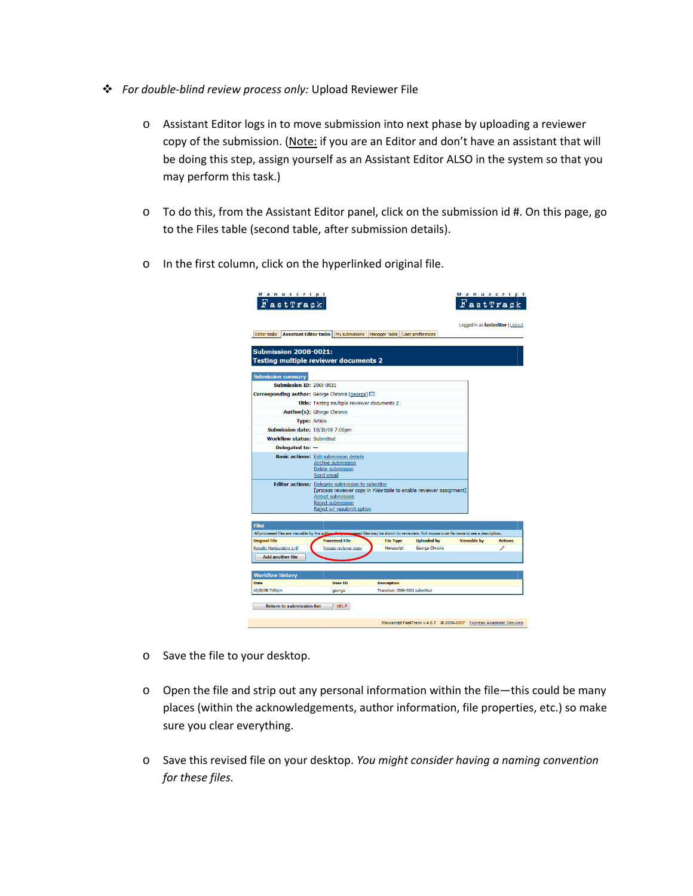- **❖** For double-blind review process only: Upload Reviewer File
	- o Assistant Editor logs in to move submission into next phase by uploading a reviewer copy of the submission. (Note: if you are an Editor and don't have an assistant that will be doing this step, assign yourself as an Assistant Editor ALSO in the system so that you may perform this task.)
	- o To do this, from the Assistant Editor panel, click on the submission id #. On this page, go to the Files table (s econd table, after submiss sion details).
	- o In the first column, click on the hyperlinked original file.

| Manuscript<br>FastTrack                              |                                                                                                                                                                                                        |                                                     |                    | Manuscript<br>FastTrack                                                                   |                                  |
|------------------------------------------------------|--------------------------------------------------------------------------------------------------------------------------------------------------------------------------------------------------------|-----------------------------------------------------|--------------------|-------------------------------------------------------------------------------------------|----------------------------------|
| Editor tasks                                         | Assistant Editor tasks   My submissions                                                                                                                                                                | Manager Tasks User preferences                      |                    |                                                                                           | Logged in as fasteditor   Logout |
| <b>Submission 2008-0021:</b>                         | Testing multiple reviewer documents 2                                                                                                                                                                  |                                                     |                    |                                                                                           |                                  |
| <b>Submission summary</b>                            |                                                                                                                                                                                                        |                                                     |                    |                                                                                           |                                  |
| <b>Submission ID: 2008-0021</b>                      |                                                                                                                                                                                                        |                                                     |                    |                                                                                           |                                  |
|                                                      | Corresponding author: George Chronis (george) $\boxtimes$                                                                                                                                              |                                                     |                    |                                                                                           |                                  |
|                                                      | Title: Testing multiple reviewer documents 2                                                                                                                                                           |                                                     |                    |                                                                                           |                                  |
|                                                      | Author(s): GEorge Chronis                                                                                                                                                                              |                                                     |                    |                                                                                           |                                  |
| <b>Type: Article</b>                                 |                                                                                                                                                                                                        |                                                     |                    |                                                                                           |                                  |
| Submission date: 10/30/08 7:00pm                     |                                                                                                                                                                                                        |                                                     |                    |                                                                                           |                                  |
| <b>Workflow status: Submitted</b>                    |                                                                                                                                                                                                        |                                                     |                    |                                                                                           |                                  |
| Delegated to: $-$                                    |                                                                                                                                                                                                        |                                                     |                    |                                                                                           |                                  |
|                                                      | <b>Basic actions:</b> Edit submission details<br>Archive submission<br>Delete submission<br>Send email                                                                                                 |                                                     |                    |                                                                                           |                                  |
|                                                      | Editor actions: Delegate submission to subeditor<br>[process reviewer copy in Files table to enable reviewer assignment]<br><b>Accept submission</b><br>Reject submission<br>Reject w/ resubmit option |                                                     |                    |                                                                                           |                                  |
| <b>Files</b>                                         |                                                                                                                                                                                                        |                                                     |                    |                                                                                           |                                  |
| All processed files are viewable by the author. Only |                                                                                                                                                                                                        |                                                     |                    | assessed files may be shown to reviewers. Roll mouse over file name to see a description. |                                  |
| <b>Original File</b>                                 | <b>Processed File</b>                                                                                                                                                                                  | <b>File Type</b>                                    | <b>Uploaded by</b> | <b>Viewable by</b>                                                                        | <b>Actions</b>                   |
| Robotic Manipulators 1.rtf                           | Process reviewer copy                                                                                                                                                                                  | Manuscript                                          | George Chronis     |                                                                                           |                                  |
| <b>Add another file</b>                              |                                                                                                                                                                                                        |                                                     |                    |                                                                                           |                                  |
|                                                      |                                                                                                                                                                                                        |                                                     |                    |                                                                                           |                                  |
| <b>Workflow history</b>                              |                                                                                                                                                                                                        |                                                     |                    |                                                                                           |                                  |
| <b>Date</b><br>10/30/08 7:00pm                       | <b>User ID</b><br>george                                                                                                                                                                               | <b>Description</b><br>Transion: 2008-0021 submitted |                    |                                                                                           |                                  |
| <b>Return to submission list</b>                     | <b>HELP</b>                                                                                                                                                                                            |                                                     |                    |                                                                                           |                                  |
|                                                      |                                                                                                                                                                                                        |                                                     |                    | Manuscript FastTrack v.4.6.7 @ 2000-2007 Express Academic Services                        |                                  |

- o Save the file to your desktop.
- $\circ$  Open the file and strip out any personal information within the file—this could be many places (within the acknowledgements, author information, file properties, etc.) so make sure you clear everything.
- o Save t his revised fil e on your des sktop. *You m ight consider r having a nam ming convent tionfor the ese files.*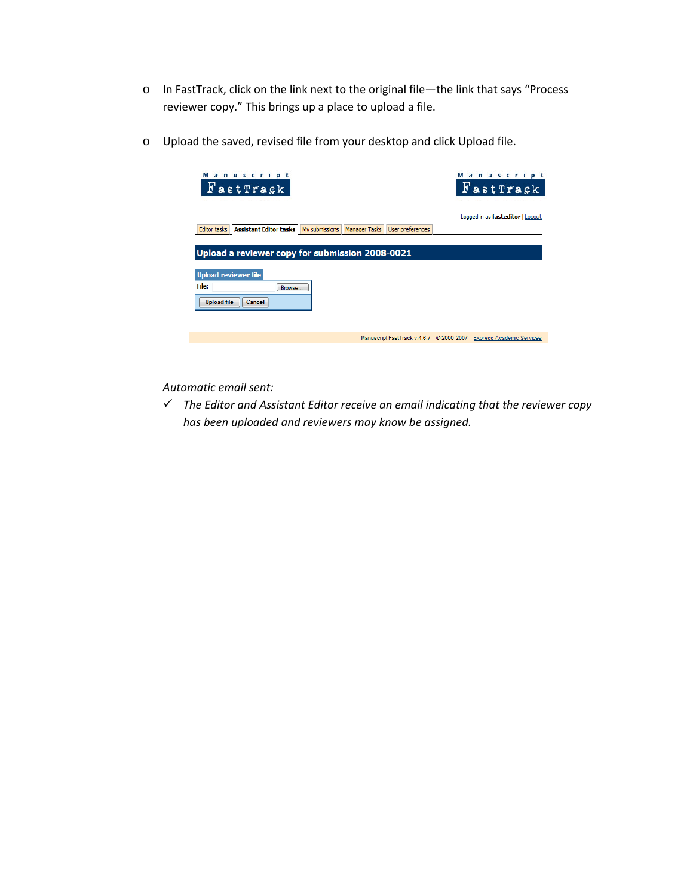- o In FastTrack, click on the link next to the original file—the link that says "Process reviewer copy." This brings up a place to upload a file.
- o Upload the saved, revised file from your desktop and click Upload file.

| Manuscript<br>FastTrack                                |                                          | Manuscript<br>FastTrack          |
|--------------------------------------------------------|------------------------------------------|----------------------------------|
| Editor tasks   Assistant Editor tasks   My submissions | Manager Tasks<br>User preferences        | Logged in as fasteditor   Logout |
| Upload a reviewer copy for submission 2008-0021        |                                          |                                  |
| <b>Upload reviewer file</b>                            |                                          |                                  |
| File:<br>Browse<br><b>Upload file</b><br>Cancel        |                                          |                                  |
|                                                        |                                          |                                  |
|                                                        | Manuscript FastTrack v.4.6.7 © 2000-2007 | <b>Express Academic Services</b> |

*Automatic email sent:*

9 *The Editor and Assistant Editor receive an email indicating that the reviewer copy has been uploaded and reviewers may know be assigned.*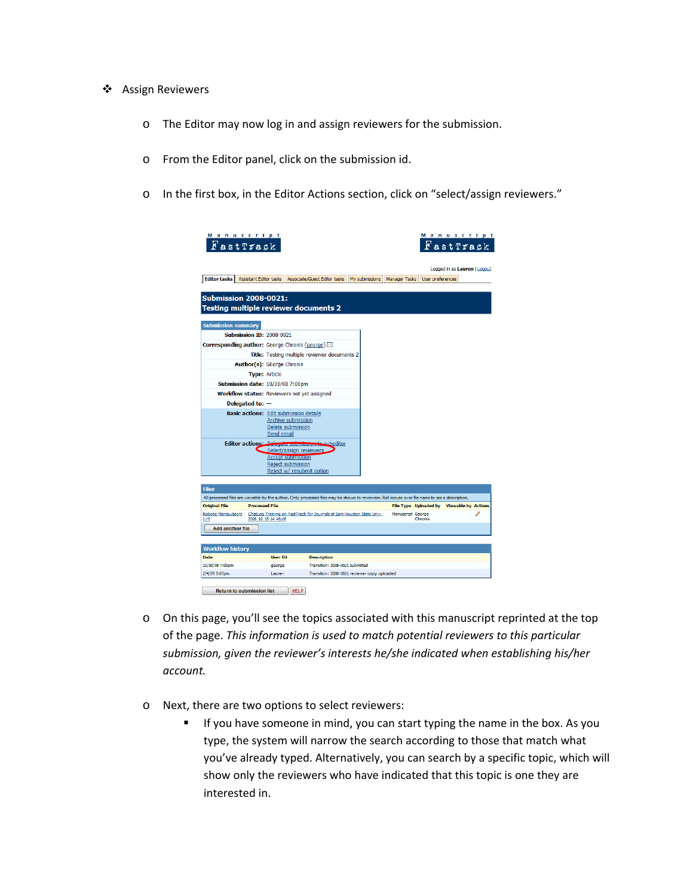- ❖ Assign Reviewers
	- o The Editor may now log in and assign reviewers for the submission.
	- o From the Editor panel, click on the submission id.
	- o In the first box, in the Editor Actions section, click on "select/assign reviewers."

|                                                                       | Manuscript<br>FastTrack                       |                      |                                                |                                                                                                                                                 |                |                      |                  | Manuscript<br>r astTrack                  |  |
|-----------------------------------------------------------------------|-----------------------------------------------|----------------------|------------------------------------------------|-------------------------------------------------------------------------------------------------------------------------------------------------|----------------|----------------------|------------------|-------------------------------------------|--|
| <b>Editor tasks</b>                                                   | <b>Assistant Editor tasks</b>                 |                      |                                                | Associate/Guest Editor tasks                                                                                                                    | My submissions | <b>Manager Tasks</b> | User preferences | Logged in as Lauren   Logout              |  |
|                                                                       |                                               |                      |                                                |                                                                                                                                                 |                |                      |                  |                                           |  |
| <b>Submission 2008-0021:</b><br>Testing multiple reviewer documents 2 |                                               |                      |                                                |                                                                                                                                                 |                |                      |                  |                                           |  |
|                                                                       |                                               |                      |                                                |                                                                                                                                                 |                |                      |                  |                                           |  |
| <b>Submission summary</b>                                             |                                               |                      |                                                |                                                                                                                                                 |                |                      |                  |                                           |  |
|                                                                       | <b>Submission ID: 2008-0021</b>               |                      |                                                |                                                                                                                                                 |                |                      |                  |                                           |  |
| Corresponding author: George Chronis (george)                         |                                               |                      |                                                |                                                                                                                                                 |                |                      |                  |                                           |  |
|                                                                       |                                               |                      |                                                | Title: Testing multiple reviewer documents 2                                                                                                    |                |                      |                  |                                           |  |
|                                                                       | Author(s): GEorge Chronis                     |                      |                                                |                                                                                                                                                 |                |                      |                  |                                           |  |
|                                                                       | <b>Type: Article</b>                          |                      |                                                |                                                                                                                                                 |                |                      |                  |                                           |  |
|                                                                       | <b>Submission date: 10/30/08 7:00pm</b>       |                      |                                                |                                                                                                                                                 |                |                      |                  |                                           |  |
|                                                                       | Workflow status: Reviewers not yet assigned   |                      |                                                |                                                                                                                                                 |                |                      |                  |                                           |  |
|                                                                       | Delegated to: $-$                             |                      |                                                |                                                                                                                                                 |                |                      |                  |                                           |  |
|                                                                       | <b>Basic actions:</b> Edit submission details |                      |                                                |                                                                                                                                                 |                |                      |                  |                                           |  |
|                                                                       |                                               |                      | Archive submission                             |                                                                                                                                                 |                |                      |                  |                                           |  |
|                                                                       |                                               | Send email           | Delete submission                              |                                                                                                                                                 |                |                      |                  |                                           |  |
|                                                                       |                                               |                      |                                                | Editor actions: Delegate submission to subeditor                                                                                                |                |                      |                  |                                           |  |
|                                                                       |                                               |                      | Select/assign reviewers                        |                                                                                                                                                 |                |                      |                  |                                           |  |
|                                                                       |                                               |                      | <b>Accept submission</b>                       |                                                                                                                                                 |                |                      |                  |                                           |  |
|                                                                       |                                               |                      | Reject submission<br>Reject w/ resubmit option |                                                                                                                                                 |                |                      |                  |                                           |  |
|                                                                       |                                               |                      |                                                |                                                                                                                                                 |                |                      |                  |                                           |  |
| <b>Files</b>                                                          |                                               |                      |                                                |                                                                                                                                                 |                |                      |                  |                                           |  |
|                                                                       |                                               |                      |                                                | All processed files are viewable by the author. Only processed files may be shown to reviewers. Roll mouse over file name to see a description. |                |                      |                  |                                           |  |
| <b>Original File</b>                                                  | <b>Processed File</b>                         |                      |                                                |                                                                                                                                                 |                |                      |                  | File Type Uploaded by Viewable by Actions |  |
| 1.rdf                                                                 |                                               | 2008 10 15 14 49.rtf |                                                | Robotic Manipulators ChatLog Training on FastTrack for Journals at Sam Houston State Univ                                                       |                | Manuscript George    | Chronis          |                                           |  |
| <b>Add another file</b>                                               |                                               |                      |                                                |                                                                                                                                                 |                |                      |                  |                                           |  |
| <b>Workflow history</b>                                               |                                               |                      |                                                |                                                                                                                                                 |                |                      |                  |                                           |  |
|                                                                       |                                               | User ID              |                                                | <b>Description</b>                                                                                                                              |                |                      |                  |                                           |  |
| Date                                                                  |                                               |                      |                                                |                                                                                                                                                 |                |                      |                  |                                           |  |
| 10/30/08 7:00pm                                                       |                                               | george               |                                                | Transition: 2008-0021 submitted                                                                                                                 |                |                      |                  |                                           |  |

- o On this page, you'll see the topics associated with this manuscript reprinted at the top of the page. *This information is used to match potential reviewers to this particular submission, given the reviewer's interests he/she indicated when establishing his/her account.*
- o Next, there are two options to select reviewers:
	- **If you have someone in mind, you can start typing the name in the box. As you** type, the system will narrow the search according to those that match what you've already typed. Alternatively, you can search by a specific topic, which will show only the reviewers who have indicated that this topic is one they are interested in.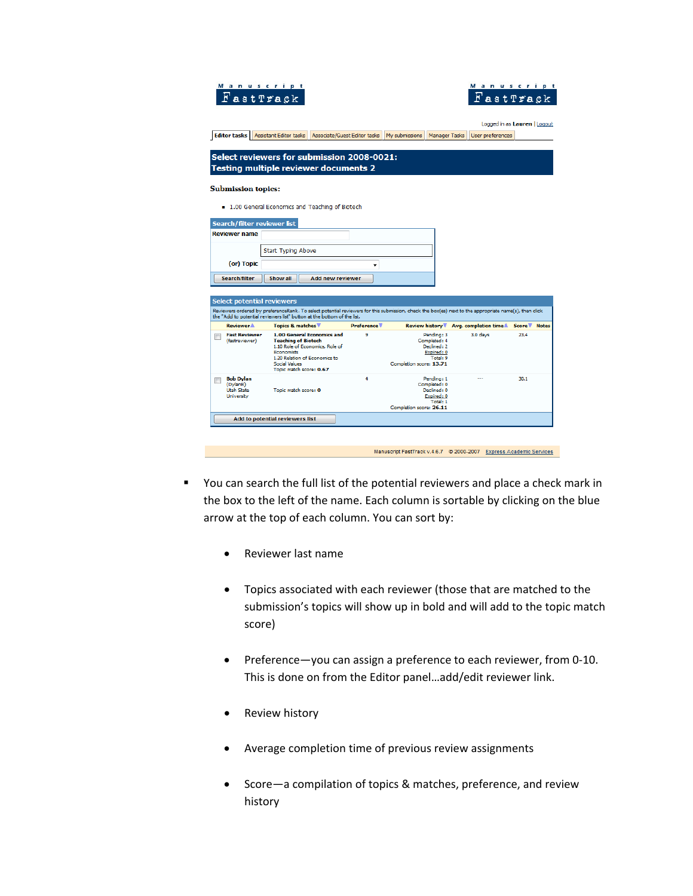| Manuscript                                                      | FastTrack                                                                                                                                                                                                                        |                   |                                                                                                |                                                                    | Manuscript<br>FastTrack      |
|-----------------------------------------------------------------|----------------------------------------------------------------------------------------------------------------------------------------------------------------------------------------------------------------------------------|-------------------|------------------------------------------------------------------------------------------------|--------------------------------------------------------------------|------------------------------|
| <b>Editor tasks</b>                                             | <b>Assistant Editor tasks</b><br>Associate/Guest Editor tasks                                                                                                                                                                    |                   | My submissions<br><b>Manager Tasks</b>                                                         | User preferences                                                   | Logged in as Lauren   Logout |
|                                                                 | Select reviewers for submission 2008-0021:<br>Testing multiple reviewer documents 2                                                                                                                                              |                   |                                                                                                |                                                                    |                              |
| <b>Submission topics:</b>                                       |                                                                                                                                                                                                                                  |                   |                                                                                                |                                                                    |                              |
|                                                                 | ■ 1.00 General Economics and Teaching of Biotech                                                                                                                                                                                 |                   |                                                                                                |                                                                    |                              |
| Search/filter reviewer list<br><b>Reviewer name</b>             |                                                                                                                                                                                                                                  |                   |                                                                                                |                                                                    |                              |
|                                                                 | <b>Start Typing Above</b>                                                                                                                                                                                                        |                   |                                                                                                |                                                                    |                              |
| (or) Topic<br>Search/filter                                     | Show all<br>Add new reviewer                                                                                                                                                                                                     |                   |                                                                                                |                                                                    |                              |
| Select potential reviewers                                      | Reviewers ordered by preferenceRank. To select potential reviewers for this submission, check the box(es) next to the appropriate name(s), then click<br>the "Add to potential reviewers list" button at the bottom of the list. |                   |                                                                                                |                                                                    |                              |
| <b>Reviewer</b> <sup>1</sup>                                    | Topics & matches                                                                                                                                                                                                                 | <b>Preference</b> |                                                                                                | Review history ▼ Avg. completion time▲                             | Score Motes                  |
| <b>Fast Reviewer</b><br>(fastreviewer)                          | 1.00 General Economics and<br><b>Teaching of Biotech</b><br>1.10 Role of Economics, Role of<br><b>Fronomists</b><br>1.20 Relation of Economics to<br>Social Values<br>Topic match score: 0.67                                    | ٩                 | Pending: 3<br>Completed: 4<br>Declined: 2<br>Expired: 0<br>Total: 9<br>Completion score: 13.71 | 3.0 days                                                           | 23.4                         |
| <b>Bob Dylan</b><br>(DylanB)<br><b>Utah State</b><br>University | Topic match score: 0                                                                                                                                                                                                             | 4                 | Pending: 1<br>Completed: 0<br>Declined: 0<br>Expired: 0<br>Total: 1<br>Completion score: 26.11 |                                                                    | 30.1                         |
|                                                                 | Add to potential reviewers list                                                                                                                                                                                                  |                   |                                                                                                |                                                                    |                              |
|                                                                 |                                                                                                                                                                                                                                  |                   |                                                                                                | Manuscript EastTrack v 4.6.7 @ 2000-2007 Express Academic Services |                              |

- You can search the full list of the potential reviewers and place a check mark in the box to the left of the name. Each column is sortable by clicking on the blue arrow at the top of each column. You can sort by:
	- Reviewer last name
	- Topics associated with each reviewer (those that are matched to the submission's topics will show up in bold and will add to the topic match score)
	- Preference—you can assign a preference to each reviewer, from 0‐10. This is done on from the Editor panel…add/edit reviewer link.
	- Review history
	- Average completion time of previous review assignments
	- Score—a compilation of topics & matches, preference, and review history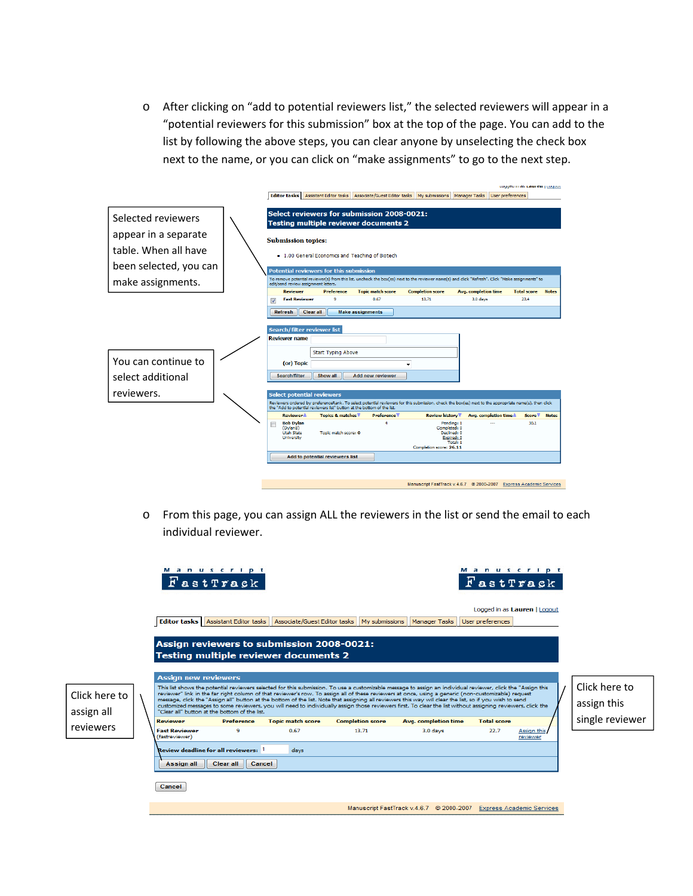o After clicking on "add to potential reviewers list," the selected reviewers will appear in a "potential reviewers for this submission" box at the top of the page. You can add to the list by following the above steps, you can clear anyone by unselecting the check box next to the name, or you can click on "make assignments" to go to the next step.

|                                          | <b>Editor tasks   Assistant Editor tasks  </b>                                                             |                                                                                                        | Associate/Guest Editor tasks                | My submissions                                                                                                                                        | Manager Tasks<br>User preferences | Lugged in as Lauren   Luguat |              |
|------------------------------------------|------------------------------------------------------------------------------------------------------------|--------------------------------------------------------------------------------------------------------|---------------------------------------------|-------------------------------------------------------------------------------------------------------------------------------------------------------|-----------------------------------|------------------------------|--------------|
| Selected reviewers                       |                                                                                                            | Select reviewers for submission 2008-0021:<br><b>Testing multiple reviewer documents 2</b>             |                                             |                                                                                                                                                       |                                   |                              |              |
| appear in a separate                     | <b>Submission topics:</b>                                                                                  |                                                                                                        |                                             |                                                                                                                                                       |                                   |                              |              |
| table. When all have                     |                                                                                                            | ■ 1.00 General Economics and Teaching of Biotech                                                       |                                             |                                                                                                                                                       |                                   |                              |              |
| been selected, you can                   |                                                                                                            | <b>Potential reviewers for this submission</b>                                                         |                                             |                                                                                                                                                       |                                   |                              |              |
| make assignments.                        | edit/send review assignment letters.                                                                       |                                                                                                        |                                             | To remove potential reviewer(s) from this list, uncheck the box(es) next to the reviewer name(s) and click "Refresh". Click "Make assignments" to     |                                   |                              |              |
|                                          | <b>Reviewer</b>                                                                                            | <b>Preference</b>                                                                                      | <b>Topic match score</b>                    | <b>Completion score</b>                                                                                                                               | <b>Avg.</b> completion time       | <b>Total score</b>           | <b>Notes</b> |
|                                          | <b>Fast Reviewer</b><br>$\overline{\mathsf{v}}$                                                            | 9                                                                                                      | 0.67                                        | 13.71                                                                                                                                                 | 3.0 days                          | 23.4                         |              |
| You can continue to<br>select additional | Refresh<br>Clear all<br>Search/filter reviewer list<br><b>Reviewer name</b><br>(or) Topic<br>Search/filter | Start Typing Above<br>Show all                                                                         | <b>Make assignments</b><br>Add new reviewer |                                                                                                                                                       |                                   |                              |              |
| reviewers.                               |                                                                                                            |                                                                                                        |                                             |                                                                                                                                                       |                                   |                              |              |
|                                          | <b>Select potential reviewers</b>                                                                          |                                                                                                        |                                             | Reviewers ordered by preferenceRank. To select potential reviewers for this submission, check the box(es) next to the appropriate name(s), then click |                                   |                              |              |
|                                          | <b>Reviewer</b> <sup>1</sup>                                                                               | the "Add to potential reviewers list" button at the bottom of the list.<br><b>Topics &amp; matches</b> | <b>Preference</b>                           | Review history                                                                                                                                        | Avg. completion time.             | Score <sup>V</sup>           | <b>Notes</b> |
|                                          | <b>Bob Dylan</b><br>(DylanB)<br><b>Utah State</b><br>University                                            | Topic match score: 0                                                                                   | Δ                                           | Pending: 1<br>Completed: 0<br>Declined: 0<br>Expired: 0<br>Total: 1<br>Completion score: 26.11                                                        |                                   | 30.1                         |              |
|                                          |                                                                                                            | Add to potential reviewers list                                                                        |                                             |                                                                                                                                                       |                                   |                              |              |
|                                          |                                                                                                            |                                                                                                        |                                             | Manuscript FastTrack v.4.6.7 @ 2000-2007 Express Academic Services                                                                                    |                                   |                              |              |

o From this page, you can assign ALL the reviewers in the list or send the email to each individual reviewer.

|                             |                                        | Manuscript<br>FastTrack                       |                                                                                           |                                               |                                                                                                                                                                                                                                                                                                                                                                                                                                                                                                                                                                                                                                                |                    | Manuscript<br>FastTrack      |                              |
|-----------------------------|----------------------------------------|-----------------------------------------------|-------------------------------------------------------------------------------------------|-----------------------------------------------|------------------------------------------------------------------------------------------------------------------------------------------------------------------------------------------------------------------------------------------------------------------------------------------------------------------------------------------------------------------------------------------------------------------------------------------------------------------------------------------------------------------------------------------------------------------------------------------------------------------------------------------------|--------------------|------------------------------|------------------------------|
|                             | <b>Editor tasks</b>                    | Assistant Editor tasks                        |                                                                                           | Associate/Guest Editor tasks   My submissions | <b>Manager Tasks</b>                                                                                                                                                                                                                                                                                                                                                                                                                                                                                                                                                                                                                           | User preferences   | Logged in as Lauren   Logout |                              |
|                             |                                        |                                               | Assign reviewers to submission 2008-0021:<br><b>Testing multiple reviewer documents 2</b> |                                               |                                                                                                                                                                                                                                                                                                                                                                                                                                                                                                                                                                                                                                                |                    |                              |                              |
| Click here to<br>assign all | <b>Assign new reviewers</b>            | "Clear all" button at the bottom of the list. |                                                                                           |                                               | This list shows the potential reviewers selected for this submission. To use a customizable message to assign an individual reviewer, click the "Assign this<br>reviewer" link in the far right column of that reviewer's row. To assign all of these reviewers at once, using a generic (non-customizable) request<br>message, click the "Assign all" button at the bottom of the list. Note that assigning all reviewers this way will clear the list, so if you wish to send<br>customized messages to some reviewers, you will need to individually assign those reviewers first. To clear the list without assigning reviewers, click the |                    |                              | Click here to<br>assign this |
|                             | <b>Reviewer</b>                        | <b>Preference</b>                             | <b>Topic match score</b>                                                                  | <b>Completion score</b>                       | Avg. completion time                                                                                                                                                                                                                                                                                                                                                                                                                                                                                                                                                                                                                           | <b>Total score</b> |                              | single reviewer              |
| reviewers                   | <b>Fast Reviewer</b><br>(fastreviewer) | ۰                                             | 0.67                                                                                      | 13.71                                         | 3.0 days                                                                                                                                                                                                                                                                                                                                                                                                                                                                                                                                                                                                                                       | 22.7               | Assign this<br>reviewer      |                              |
|                             |                                        | <b>Review deadline for all reviewers: 1</b>   | days                                                                                      |                                               |                                                                                                                                                                                                                                                                                                                                                                                                                                                                                                                                                                                                                                                |                    |                              |                              |
|                             | <b>Assignall</b>                       | Clear all<br>Cancel                           |                                                                                           |                                               |                                                                                                                                                                                                                                                                                                                                                                                                                                                                                                                                                                                                                                                |                    |                              |                              |
|                             | Cancel                                 |                                               |                                                                                           |                                               |                                                                                                                                                                                                                                                                                                                                                                                                                                                                                                                                                                                                                                                |                    |                              |                              |
|                             |                                        |                                               |                                                                                           |                                               | Manuscript FastTrack v.4.6.7 @ 2000-2007 Express Academic Services                                                                                                                                                                                                                                                                                                                                                                                                                                                                                                                                                                             |                    |                              |                              |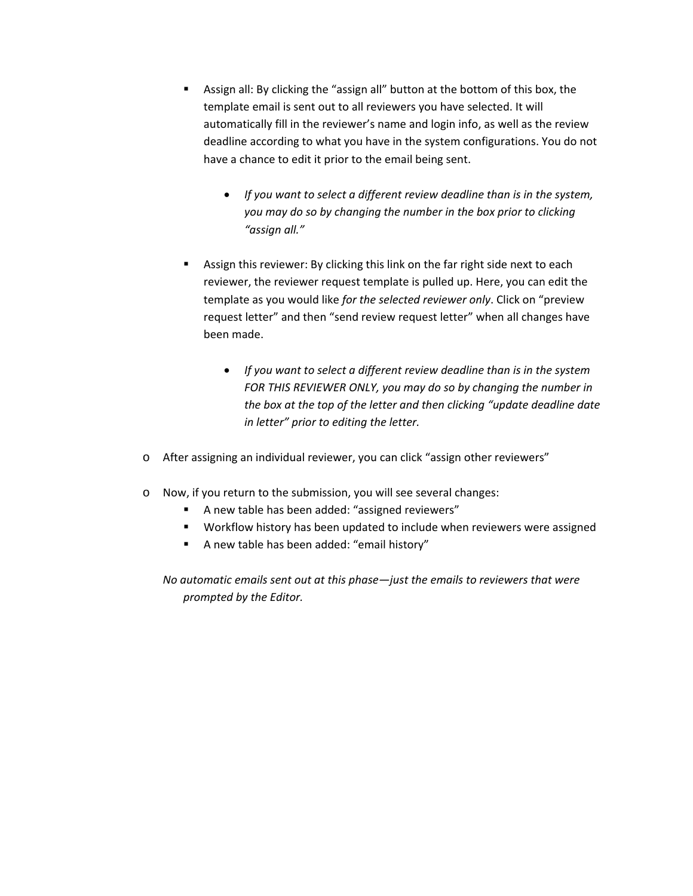- Assign all: By clicking the "assign all" button at the bottom of this box, the template email is sent out to all reviewers you have selected. It will automatically fill in the reviewer's name and login info, as well as the review deadline according to what you have in the system configurations. You do not have a chance to edit it prior to the email being sent.
	- *If you want to select a different review deadline than is in the system, you may do so by changing the number in the box prior to clicking "assign all."*
- Assign this reviewer: By clicking this link on the far right side next to each reviewer, the reviewer request template is pulled up. Here, you can edit the template as you would like *for the selected reviewer only*. Click on "preview request letter" and then "send review request letter" when all changes have been made.
	- *If you want to select a different review deadline than is in the system FOR THIS REVIEWER ONLY, you may do so by changing the number in the box at the top of the letter and then clicking "update deadline date in letter" prior to editing the letter.*
- o After assigning an individual reviewer, you can click "assign other reviewers"
- o Now, if you return to the submission, you will see several changes:
	- A new table has been added: "assigned reviewers"
	- **Workflow history has been updated to include when reviewers were assigned**
	- A new table has been added: "email history"

*No automatic emails sent out at this phase—just the emails to reviewers that were prompted by the Editor.*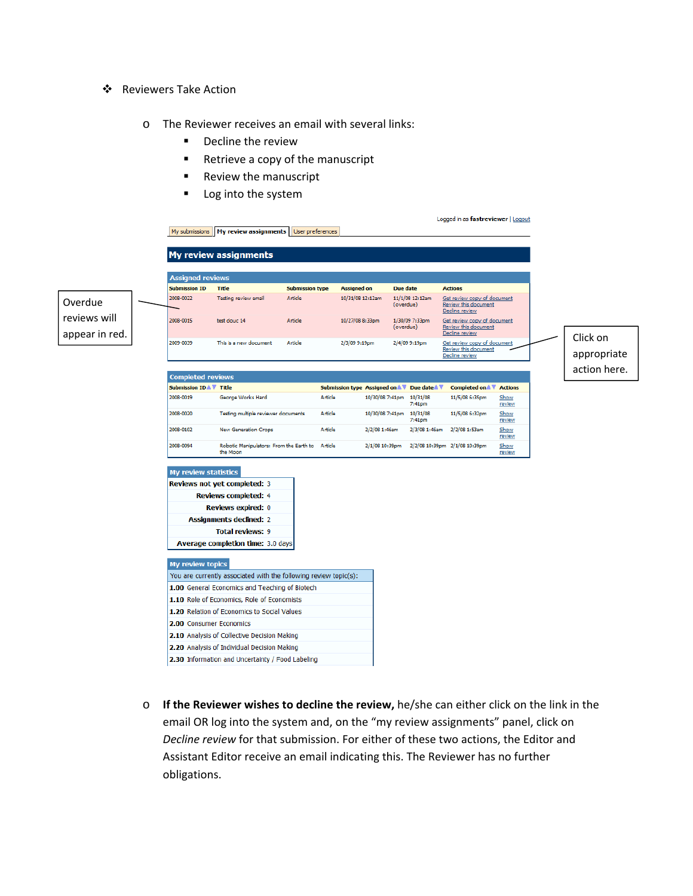- ❖ Reviewers Take Action
	- o The Reviewer receives an email with several links:
		- **•** Decline the review
		- Retrieve a copy of the manuscript
		- **Review the manuscript**
		- **Log into the system**



o **If the Reviewer wishes to decline the review,** he/she can either click on the link in the email OR log into the system and, on the "my review assignments" panel, click on *Decline review* for that submission. For either of these two actions, the Editor and Assistant Editor receive an email indicating this. The Reviewer has no further obligations.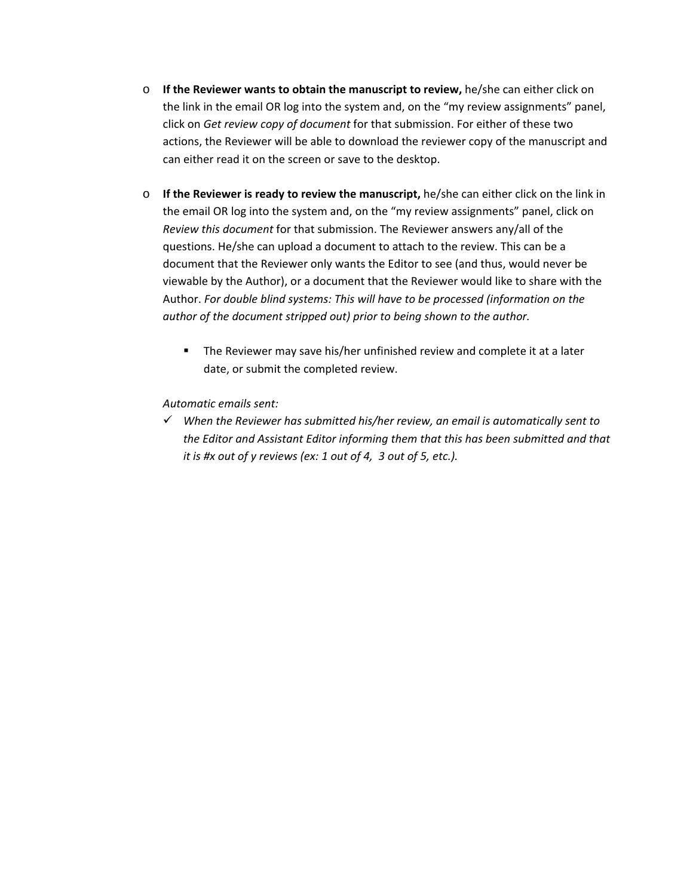- o **If the Reviewer wants to obtain the manuscript to review,** he/she can either click on the link in the email OR log into the system and, on the "my review assignments" panel, click on *Get review copy of document* for that submission. For either of these two actions, the Reviewer will be able to download the reviewer copy of the manuscript and can either read it on the screen or save to the desktop.
- o **If the Reviewer is ready to review the manuscript,** he/she can either click on the link in the email OR log into the system and, on the "my review assignments" panel, click on *Review this document* for that submission. The Reviewer answers any/all of the questions. He/she can upload a document to attach to the review. This can be a document that the Reviewer only wants the Editor to see (and thus, would never be viewable by the Author), or a document that the Reviewer would like to share with the Author. *For double blind systems: This will have to be processed (information on the author of the document stripped out) prior to being shown to the author.*
	- The Reviewer may save his/her unfinished review and complete it at a later date, or submit the completed review.

*Automatic emails sent:* 

9 *When the Reviewer has submitted his/her review, an email is automatically sent to the Editor and Assistant Editor informing them that this has been submitted and that it is #x out of y reviews (ex: 1 out of 4, 3 out of 5, etc.).*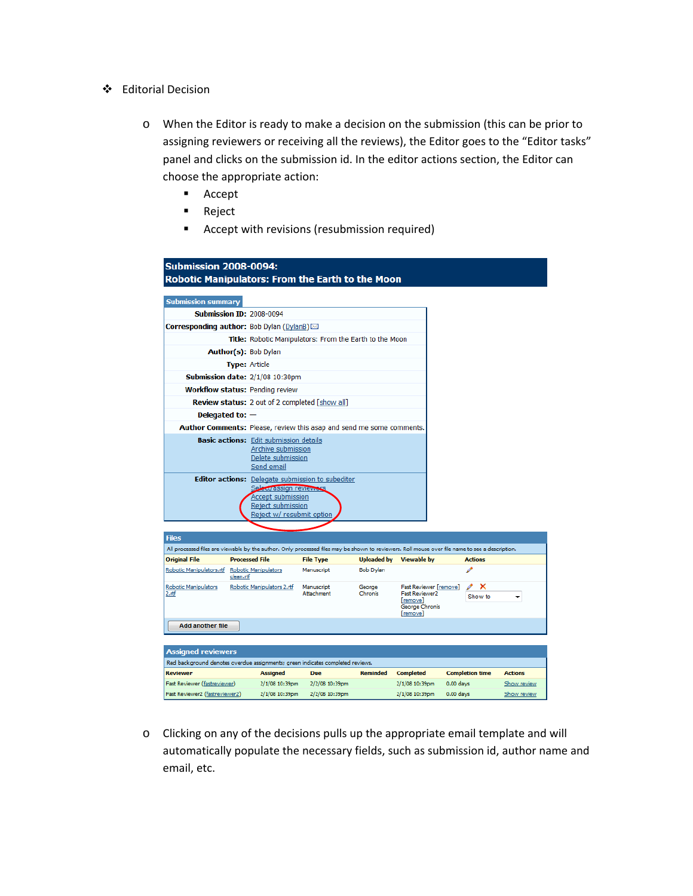- Editorial Decision
	- o When the Editor is ready to make a decision on the submission (this can be prior to assigning reviewers or receiving all the reviews), the Editor goes to the "Editor tasks" panel and clicks on the submission id. In the editor actions section, the Editor can choose the appropriate action:
		- **Accept**
		- **Reject**
		- Accept with revisions (resubmission required)

| Robotic Manipulators: From the Earth to the Moon                                                                                                |                                                                                                                                                           |                  |                    |                                                                                           |                                       |                               |
|-------------------------------------------------------------------------------------------------------------------------------------------------|-----------------------------------------------------------------------------------------------------------------------------------------------------------|------------------|--------------------|-------------------------------------------------------------------------------------------|---------------------------------------|-------------------------------|
|                                                                                                                                                 |                                                                                                                                                           |                  |                    |                                                                                           |                                       |                               |
| <b>Submission summary</b>                                                                                                                       |                                                                                                                                                           |                  |                    |                                                                                           |                                       |                               |
| <b>Submission ID: 2008-0094</b>                                                                                                                 |                                                                                                                                                           |                  |                    |                                                                                           |                                       |                               |
| <b>Corresponding author:</b> Bob Dylan (DylanB) $\boxtimes$                                                                                     |                                                                                                                                                           |                  |                    |                                                                                           |                                       |                               |
|                                                                                                                                                 | Title: Robotic Manipulators: From the Earth to the Moon                                                                                                   |                  |                    |                                                                                           |                                       |                               |
|                                                                                                                                                 | Author(s): Bob Dylan                                                                                                                                      |                  |                    |                                                                                           |                                       |                               |
|                                                                                                                                                 | <b>Type: Article</b>                                                                                                                                      |                  |                    |                                                                                           |                                       |                               |
| Submission date: 2/1/08 10:30pm                                                                                                                 |                                                                                                                                                           |                  |                    |                                                                                           |                                       |                               |
| <b>Workflow status: Pending review</b>                                                                                                          |                                                                                                                                                           |                  |                    |                                                                                           |                                       |                               |
|                                                                                                                                                 | Review status: 2 out of 2 completed [show all]                                                                                                            |                  |                    |                                                                                           |                                       |                               |
| Delegated to: $-$                                                                                                                               |                                                                                                                                                           |                  |                    |                                                                                           |                                       |                               |
| Author Comments: Please, review this asap and send me some comments.                                                                            |                                                                                                                                                           |                  |                    |                                                                                           |                                       |                               |
|                                                                                                                                                 | <b>Basic actions:</b> Edit submission details<br>Archive submission<br>Delete submission<br>Send email                                                    |                  |                    |                                                                                           |                                       |                               |
|                                                                                                                                                 | <b>Editor actions:</b> Delegate submission to subeditor<br>Selectrassign reviewers<br>Accept submission<br>Reject submission<br>Reject w/ resubmit option |                  |                    |                                                                                           |                                       |                               |
|                                                                                                                                                 |                                                                                                                                                           |                  |                    |                                                                                           |                                       |                               |
| <b>Files</b>                                                                                                                                    |                                                                                                                                                           |                  |                    |                                                                                           |                                       |                               |
| All processed files are viewable by the author. Only processed files may be shown to reviewers. Roll mouse over file name to see a description. |                                                                                                                                                           |                  |                    |                                                                                           |                                       |                               |
|                                                                                                                                                 | <b>Processed File</b>                                                                                                                                     | <b>File Type</b> | <b>Uploaded by</b> | <b>Viewable by</b>                                                                        | <b>Actions</b>                        |                               |
| <b>Original File</b><br>Robotic Manipulators.rtf Robotic Manipulators                                                                           |                                                                                                                                                           | Manuscript       | <b>Bob Dylan</b>   |                                                                                           |                                       |                               |
| clean.rtf<br>Robotic Manipulators<br>2.rtf                                                                                                      | Robotic Manipulators 2.rtf Manuscript                                                                                                                     | Attachment       | George<br>Chronis  | Fast Reviewer [remove]<br><b>Fast Reviewer2</b><br>[remove]<br>George Chronis<br>[remove] | ×<br>Show to                          |                               |
| <b>Add another file</b>                                                                                                                         |                                                                                                                                                           |                  |                    |                                                                                           |                                       |                               |
|                                                                                                                                                 |                                                                                                                                                           |                  |                    |                                                                                           |                                       |                               |
| <b>Assigned reviewers</b>                                                                                                                       |                                                                                                                                                           |                  |                    |                                                                                           |                                       |                               |
| Red background denotes overdue assignments; green indicates completed reviews.<br>Reviewer                                                      |                                                                                                                                                           | Due              |                    |                                                                                           |                                       |                               |
| Fast Reviewer (fastreviewer)                                                                                                                    | <b>Assigned</b><br>2/1/08 10:39pm                                                                                                                         | 2/2/08 10:39pm   | <b>Reminded</b>    | <b>Completed</b><br>2/1/08 10:39pm                                                        | <b>Completion time</b><br>$0.00$ days | <b>Actions</b><br>Show review |

o Clicking on any of the decisions pulls up the appropriate email template and will automatically populate the necessary fields, such as submission id, author name and email, etc.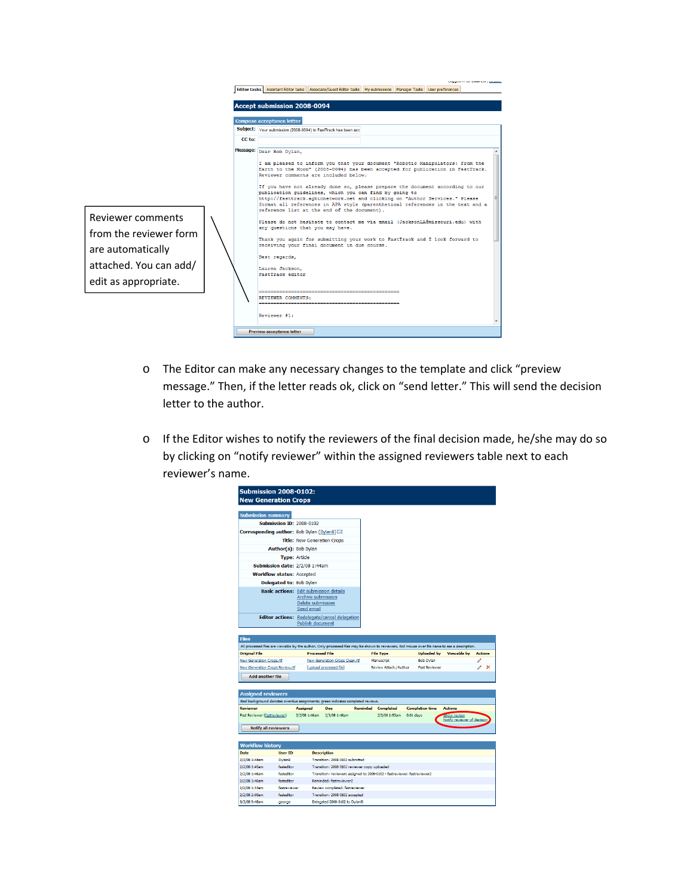

- o The Editor can make any necessary changes to the template and click "preview message." Then, if the letter reads ok, click on "send letter." This will send the decision letter to the author.
- o If the Editor wishes to notify the reviewers of the final decision made, he/she may do so by clicking on "notify reviewer" within the assigned reviewers table next to each reviewer's name.